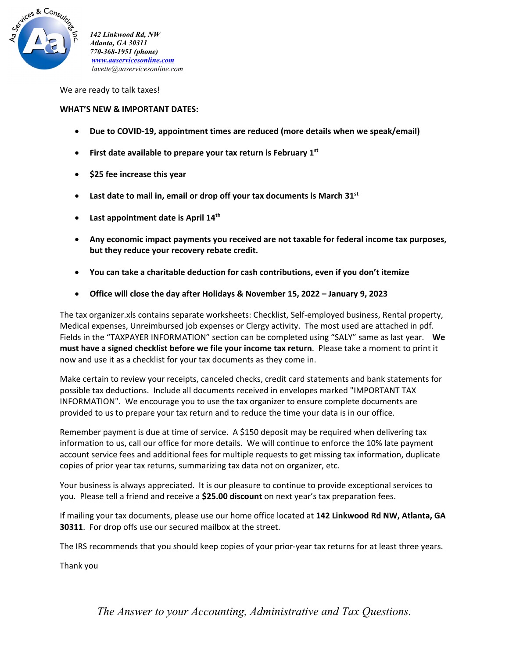

*142 Linkwood Rd, NW Atlanta, GA 30311 770-368-1951 (phone) www.aaservicesonline.com lavette@aaservicesonline.com*

We are ready to talk taxes!

## **WHAT'S NEW & IMPORTANT DATES:**

- **Due to COVID‐19, appointment times are reduced (more details when we speak/email)**
- **First date available to prepare your tax return is February 1st**
- **\$25 fee increase this year**
- **Last date to mail in, email or drop off your tax documents is March 31st**
- **Last appointment date is April 14th**
- **Any economic impact payments you received are not taxable for federal income tax purposes, but they reduce your recovery rebate credit.**
- **You can take a charitable deduction for cash contributions, even if you don't itemize**
- **Office will close the day after Holidays & November 15, 2022 – January 9, 2023**

The tax organizer.xls contains separate worksheets: Checklist, Self‐employed business, Rental property, Medical expenses, Unreimbursed job expenses or Clergy activity. The most used are attached in pdf. Fields in the "TAXPAYER INFORMATION" section can be completed using "SALY" same as last year. **We must have a signed checklist before we file your income tax return**. Please take a moment to print it now and use it as a checklist for your tax documents as they come in.

Make certain to review your receipts, canceled checks, credit card statements and bank statements for possible tax deductions. Include all documents received in envelopes marked "IMPORTANT TAX INFORMATION". We encourage you to use the tax organizer to ensure complete documents are provided to us to prepare your tax return and to reduce the time your data is in our office.

Remember payment is due at time of service. A \$150 deposit may be required when delivering tax information to us, call our office for more details. We will continue to enforce the 10% late payment account service fees and additional fees for multiple requests to get missing tax information, duplicate copies of prior year tax returns, summarizing tax data not on organizer, etc.

Your business is always appreciated. It is our pleasure to continue to provide exceptional services to you. Please tell a friend and receive a **\$25.00 discount** on next year's tax preparation fees.

If mailing your tax documents, please use our home office located at **142 Linkwood Rd NW, Atlanta, GA 30311**. For drop offs use our secured mailbox at the street.

The IRS recommends that you should keep copies of your prior‐year tax returns for at least three years.

Thank you

*The Answer to your Accounting, Administrative and Tax Questions.*